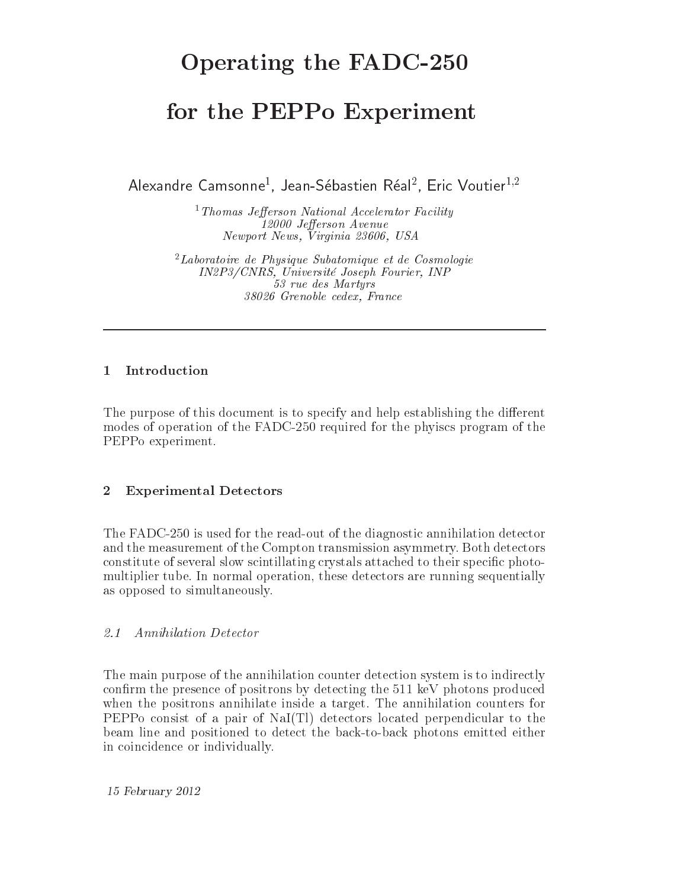# Operating the FADC-250

## for the PEPPo Experiment

Alexandre Camsonne<sup>1</sup>, Jean-Sébastien Réal<sup>2</sup>, Eric Voutier<sup>1,2</sup>

<sup>1</sup> Thomas Jefferson National Accelerator Facility 12000 Jefferson Avenue Newport News, Virginia 23606, USA

 $2$ Laboratoire de Physique Subatomique et de Cosmologie IN2P3/CNRS, Université Joseph Fourier, INP 53 rue des Martyrs 38026 Grenoble cedex, France

### Introduction  $\mathbf{1}$

The purpose of this document is to specify and help establishing the different modes of operation of the FADC-250 required for the physics program of the PEPPo experiment.

#### $\overline{2}$ **Experimental Detectors**

The FADC-250 is used for the read-out of the diagnostic annihilation detector and the measurement of the Compton transmission asymmetry. Both detectors constitute of several slow scintillating crystals attached to their specific photomultiplier tube. In normal operation, these detectors are running sequentially as opposed to simultaneously.

#### $2.1$ Annihilation Detector

The main purpose of the annihilation counter detection system is to indirectly confirm the presence of positrons by detecting the 511 keV photons produced when the positrons annihilate inside a target. The annihilation counters for PEPPo consist of a pair of NaI(Tl) detectors located perpendicular to the beam line and positioned to detect the back-to-back photons emitted either in coincidence or individually.

15 February 2012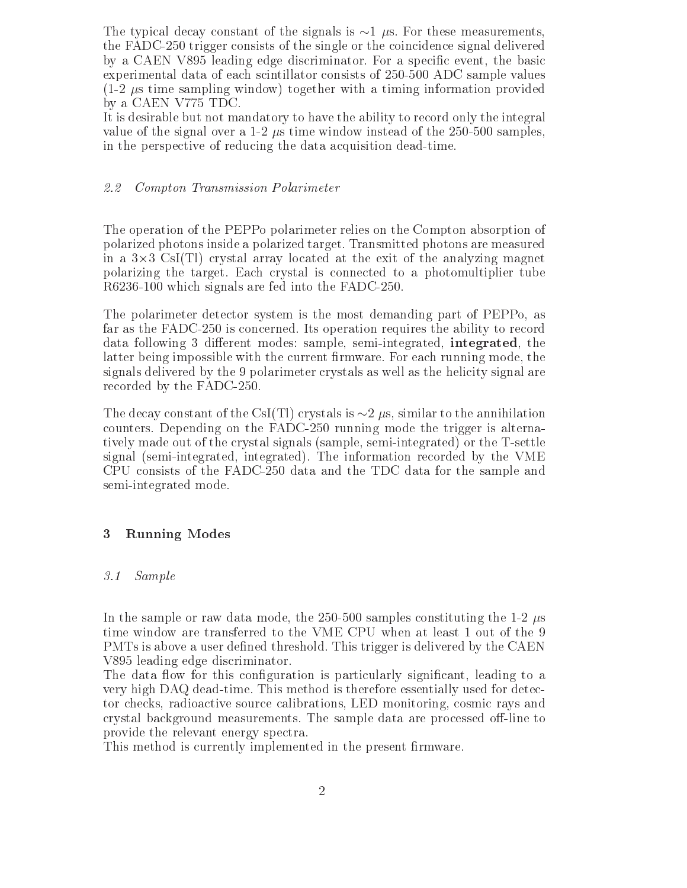The typical decay constant of the signals is  $\sim$ 1  $\mu$ s. For these measurements, the FADC-250 trigger consists of the single or the coincidence signal delivered by a CAEN V895 leading edge discriminator. For a specific event, the basic experimental data of each scintillator consists of 250-500 ADC sample values  $(1-2 \mu s)$  time sampling window) together with a timing information provided by a CAEN V775 TDC.

It is desirable but not mandatory to have the ability to record only the integral value of the signal over a 1-2  $\mu$ s time window instead of the 250-500 samples, in the perspective of reducing the data acquisition dead-time.

#### Compton Transmission Polarimeter 2.2

The operation of the PEPPo polarimeter relies on the Compton absorption of polarized photons inside a polarized target. Transmitted photons are measured in a  $3\times3$  CsI(Tl) crystal array located at the exit of the analyzing magnet polarizing the target. Each crystal is connected to a photomultiplier tube R6236-100 which signals are fed into the FADC-250.

The polarimeter detector system is the most demanding part of PEPPo, as far as the FADC-250 is concerned. Its operation requires the ability to record data following 3 different modes: sample, semi-integrated, integrated, the latter being impossible with the current firmware. For each running mode, the signals delivered by the 9 polarimeter crystals as well as the helicity signal are recorded by the FADC-250.

The decay constant of the CsI(Tl) crystals is  $\sim$ 2  $\mu$ s, similar to the annihilation counters. Depending on the FADC-250 running mode the trigger is alternatively made out of the crystal signals (sample, semi-integrated) or the T-settle signal (semi-integrated, integrated). The information recorded by the VME CPU consists of the FADC-250 data and the TDC data for the sample and semi-integrated mode.

#### **Running Modes** 3

#### $3.1$ Sample

In the sample or raw data mode, the 250-500 samples constituting the 1-2  $\mu$ s time window are transferred to the VME CPU when at least 1 out of the 9 PMTs is above a user defined threshold. This trigger is delivered by the CAEN V895 leading edge discriminator.

The data flow for this configuration is particularly significant, leading to a very high DAQ dead-time. This method is therefore essentially used for detector checks, radioactive source calibrations, LED monitoring, cosmic rays and crystal background measurements. The sample data are processed off-line to provide the relevant energy spectra.

This method is currently implemented in the present firmware.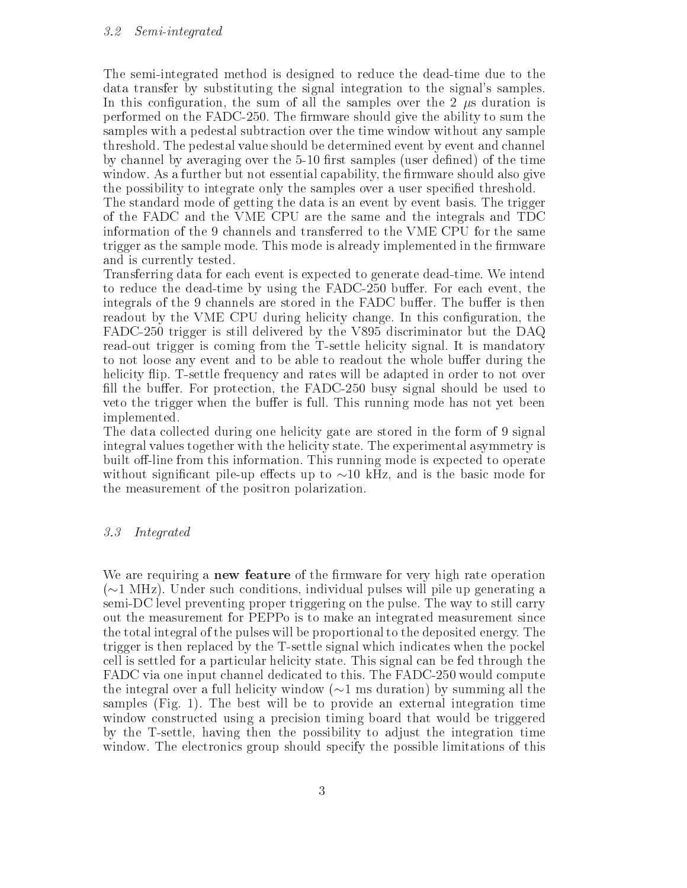The semi-integrated method is designed to reduce the dead-time due to the data transfer by substituting the signal integration to the signal's samples. In this configuration, the sum of all the samples over the 2  $\mu$ s duration is performed on the FADC-250. The firmware should give the ability to sum the samples with a pedestal subtraction over the time window without any sample threshold. The pedestal value should be determined event by event and channel by channel by averaging over the 5-10 first samples (user defined) of the time window. As a further but not essential capability, the firmware should also give the possibility to integrate only the samples over a user specified threshold.

The standard mode of getting the data is an event by event basis. The trigger of the FADC and the VME CPU are the same and the integrals and TDC information of the 9 channels and transferred to the VME CPU for the same trigger as the sample mode. This mode is already implemented in the firmware and is currently tested.

Transferring data for each event is expected to generate dead-time. We intend to reduce the dead-time by using the FADC-250 buffer. For each event, the integrals of the 9 channels are stored in the FADC buffer. The buffer is then readout by the VME CPU during helicity change. In this configuration, the FADC-250 trigger is still delivered by the V895 discriminator but the DAQ read-out trigger is coming from the T-settle helicity signal. It is mandatory to not loose any event and to be able to readout the whole buffer during the helicity flip. T-settle frequency and rates will be adapted in order to not over fill the buffer. For protection, the FADC-250 busy signal should be used to veto the trigger when the buffer is full. This running mode has not yet been implemented.

The data collected during one helicity gate are stored in the form of 9 signal integral values together with the helicity state. The experimental asymmetry is built off-line from this information. This running mode is expected to operate without significant pile-up effects up to  $\sim$ 10 kHz, and is the basic mode for the measurement of the positron polarization.

#### $3.3$ Integrated

We are requiring a **new feature** of the firmware for very high rate operation  $(\sim 1$  MHz). Under such conditions, individual pulses will pile up generating a semi-DC level preventing proper triggering on the pulse. The way to still carry out the measurement for PEPPo is to make an integrated measurement since the total integral of the pulses will be proportional to the deposited energy. The trigger is then replaced by the T-settle signal which indicates when the pockel cell is settled for a particular helicity state. This signal can be fed through the FADC via one input channel dedicated to this. The FADC-250 would compute the integral over a full helicity window ( $\sim$ 1 ms duration) by summing all the samples (Fig. 1). The best will be to provide an external integration time window constructed using a precision timing board that would be triggered by the T-settle, having then the possibility to adjust the integration time window. The electronics group should specify the possible limitations of this